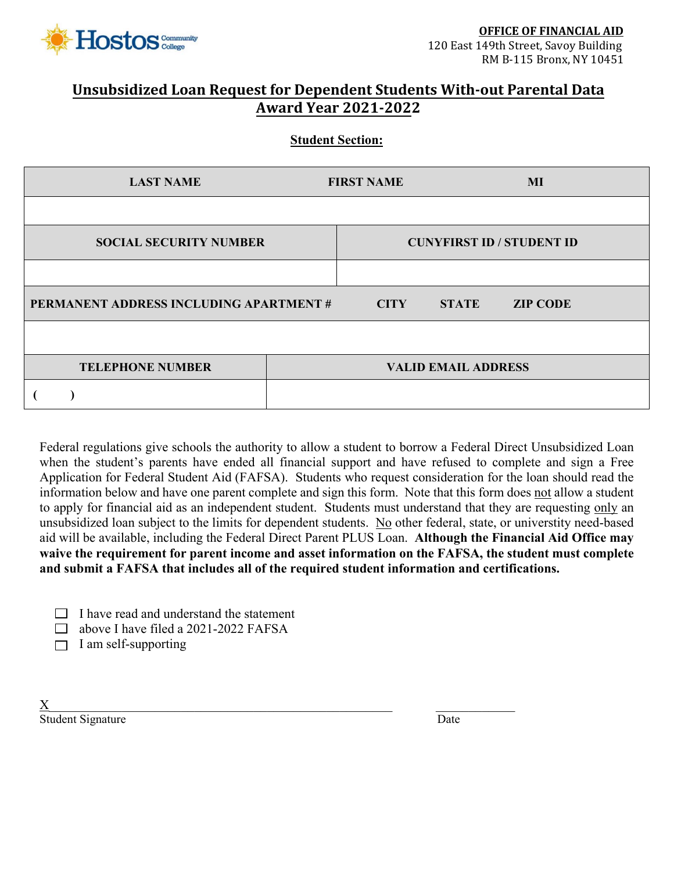

## **Unsubsidized Loan Request for Dependent Students With-out Parental Data Award Year 2021-2022**

## **Student Section:**

| <b>LAST NAME</b>                        | <b>FIRST NAME</b> |                            | MI                               |
|-----------------------------------------|-------------------|----------------------------|----------------------------------|
|                                         |                   |                            |                                  |
| <b>SOCIAL SECURITY NUMBER</b>           |                   |                            | <b>CUNYFIRST ID / STUDENT ID</b> |
|                                         |                   |                            |                                  |
| PERMANENT ADDRESS INCLUDING APARTMENT # | <b>CITY</b>       | <b>STATE</b>               | <b>ZIP CODE</b>                  |
|                                         |                   |                            |                                  |
| <b>TELEPHONE NUMBER</b>                 |                   | <b>VALID EMAIL ADDRESS</b> |                                  |
|                                         |                   |                            |                                  |

Federal regulations give schools the authority to allow a student to borrow a Federal Direct Unsubsidized Loan when the student's parents have ended all financial support and have refused to complete and sign a Free Application for Federal Student Aid (FAFSA). Students who request consideration for the loan should read the information below and have one parent complete and sign this form. Note that this form does not allow a student to apply for financial aid as an independent student. Students must understand that they are requesting only an unsubsidized loan subject to the limits for dependent students. No other federal, state, or universtity need-based aid will be available, including the Federal Direct Parent PLUS Loan. **Although the Financial Aid Office may waive the requirement for parent income and asset information on the FAFSA, the student must complete and submit a FAFSA that includes all of the required student information and certifications.**

|  |  | $\Box$ I have read and understand the statement |  |
|--|--|-------------------------------------------------|--|
|--|--|-------------------------------------------------|--|

 $\Box$  above I have filed a 2021-2022 FAFSA

 $\Box$  I am self-supporting

 $\underline{X}$ Student Signature Date Date of the United Student Signature Date Date